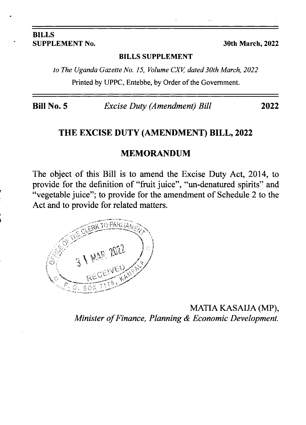#### BILLS SUPPLEMENT No. 30th March, 2022

#### BILLS SUPPLEMENT

to The Uganda Gazette No. 15, Volume CXV, dated 30th March, 2022 Printed by UPPC, Entebbe, by Order of the Government.

Bill No. 5 Excise Duty (Amendment) Bill 2022

#### THE EXCISE DUTY (AMENDMENT) BILL, 2022

#### MEMORANDUM

The object of this Bill is to amend the Excise Duty Act, 2014, to provide for the definition of "fruit juice", "un-denatured spirits" and "vegetable juice"; to provide for the amendment of Schedule 2 to the Act and to provide for related matters.

> MATIA KASAIJA (MP), Minister of Finance, Planning & Economic Development.

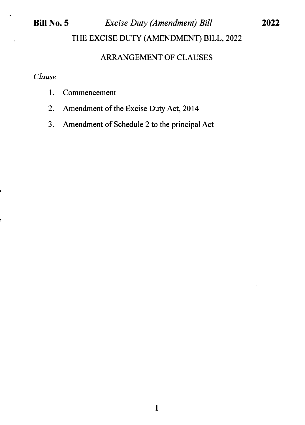# Bill No. 5 Excise Duty (Amendment) Bill

2022

THE EXCISE DUTY (AMENDMENT) BILL, 2022

# ARRANGEMENT OF CLAUSES

#### Clause

- 1. Commencement
- 2. Amendment of the Excise Duty Act, 2014
- 3. Amendment of Schedule 2 to the principal Act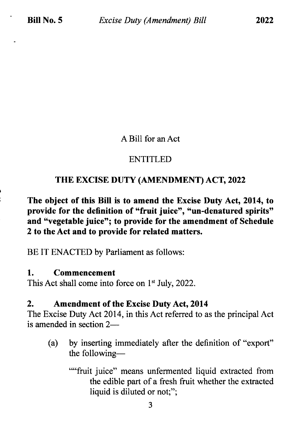#### A Bill for an Act

# **ENTITLED**

### THE EXCISE DUTY (AMENDMENT) ACT,2022

The object of this Bill is to amend the Excise Duty Act, 2014, to provide for the definition of "fruit juice", "un-denatured spirits" and "vegetable juice"; to provide for the amendment of Schedule 2 to the Act and to provide for related matters.

BE IT ENACTED by Parliament as follows:

#### 1. Commencement

This Act shall come into force on 1<sup>st</sup> July, 2022.

#### 2. Amendment of the Excise Duty Act, <sup>2014</sup>

The Excise Duty Act 2014, in this Act referred to as the principal Act is amended in section 2—

- (a) by inserting immediately after the definition of "export" the following-
	- ""fruit juice" means unfermented liquid extracted from the edible part of a fresh fruit whether the extracted liquid is diluted or not;";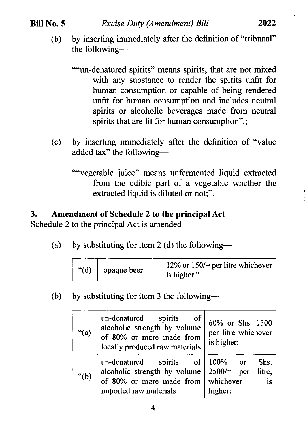#### Bill No.5

""un-denatured spirits" means spirits, that are not mixed with any substance to render the spirits unfit for human consumption or capable of being rendered unfit for human consumption and includes neutral spirits or alcoholic beverages made from neutral spirits that are fit for human consumption".;

(c) by inserting immediately after the definition of "value added tax" the following-

""vegetable juice" means unfermented liquid extracted from the edible part of a vegetable whether the extracted liquid is diluted or not;".

# 3. Amendment of Schedule 2 to the principal Act

Schedule 2 to the principal Act is amended—

(a) by substituting for item 2 (d) the following--

| " $(d)$     | 12% or $150$ /= per litre whichever |
|-------------|-------------------------------------|
| opaque beer | is higher."                         |

(b) by substituting for item 3 the following-

| " $(a)$ | un-denatured<br>spirits<br>-of<br>alcoholic strength by volume<br>of 80% or more made from<br>locally produced raw materials                  | 60% or Shs. 1500<br>per litre whichever<br>is higher; |
|---------|-----------------------------------------------------------------------------------------------------------------------------------------------|-------------------------------------------------------|
| " $(b)$ | spirits of $100\%$ or<br>un-denatured<br>alcoholic strength by volume<br>of 80% or more made from $\vert$ whichever<br>imported raw materials | Shs.<br>$2500 =$ per<br>litre,<br>is<br>higher;       |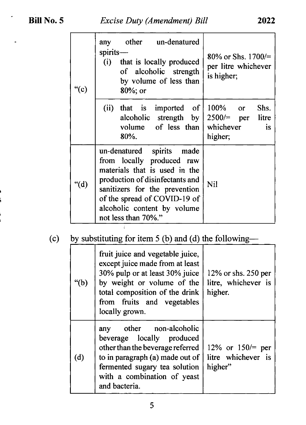| "(c) | other un-denatured<br>any<br>spirits-<br>(i)<br>that is locally produced<br>of alcoholic strength<br>by volume of less than<br>$80\%$ ; or                                                                                                           | 80% or Shs. $1700/$<br>per litre whichever<br>is higher;            |
|------|------------------------------------------------------------------------------------------------------------------------------------------------------------------------------------------------------------------------------------------------------|---------------------------------------------------------------------|
|      | of<br>(ii)<br>that is imported<br>alcoholic strength by<br>volume of less than<br>80%.                                                                                                                                                               | 100% or<br>Shs.<br>$2500 =$ per litre<br>whichever<br>is<br>higher; |
| "(d) | un-denatured<br>spirits made<br>from locally produced raw<br>materials that is used in the<br>production of disinfectants and<br>sanitizers for the prevention<br>of the spread of COVID-19 of<br>alcoholic content by volume<br>not less than 70%." | <b>Nil</b>                                                          |

# (c) by substituting for item 5 (b) and (d) the following--

| "(b) | fruit juice and vegetable juice,<br>except juice made from at least<br>30% pulp or at least 30% juice<br>by weight or volume of the<br>total composition of the drink<br>from fruits and vegetables<br>locally grown. | $12\%$ or shs. 250 per<br>litre, whichever is<br>higher. |
|------|-----------------------------------------------------------------------------------------------------------------------------------------------------------------------------------------------------------------------|----------------------------------------------------------|
| (d)  | other non-alcoholic<br>any<br>beverage locally produced<br>other than the beverage referred<br>to in paragraph (a) made out of<br>fermented sugary tea solution<br>with a combination of yeast<br>and bacteria.       | 12% or $150/=$ per<br>litre whichever is<br>higher"      |